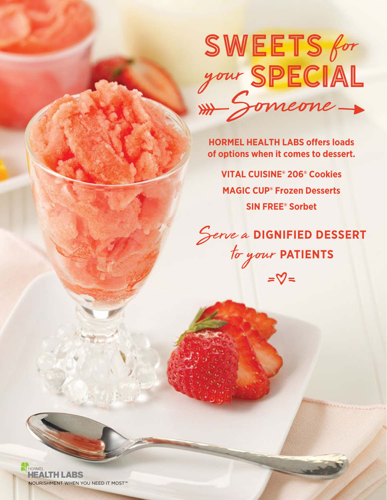

**HORMEL HEALTH LABS offers loads of options when it comes to dessert.**

**VITAL CUISINE® 206® Cookies MAGIC CUP® Frozen Desserts SIN FREE® Sorbet**

Serve a **DIGNIFIED DESSERT** to your **PATIENTS**

HORMEL **HEALTH LABS** NOURISHMENT WHEN YOU NEED IT MOST™